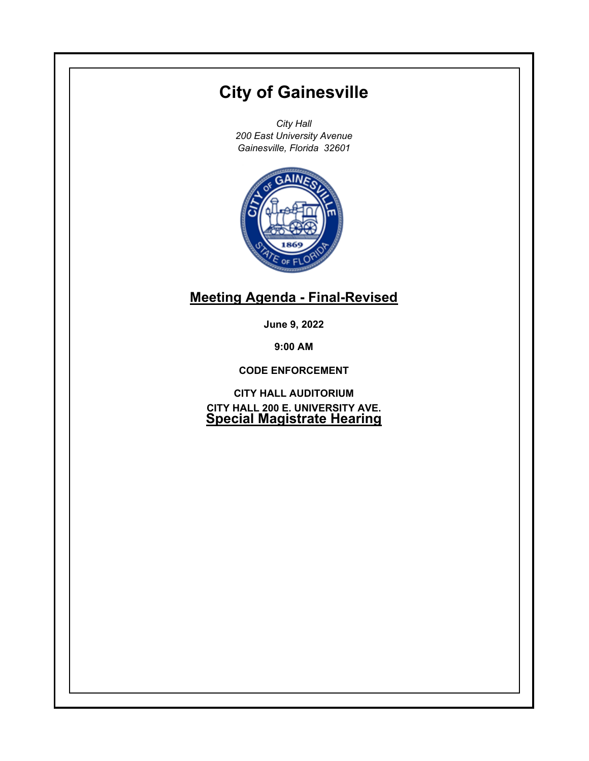# **City of Gainesville**

*City Hall 200 East University Avenue Gainesville, Florida 32601*



# **Meeting Agenda - Final-Revised**

**June 9, 2022**

**9:00 AM**

**CODE ENFORCEMENT**

**CITY HALL AUDITORIUM CITY HALL 200 E. UNIVERSITY AVE. Special Magistrate Hearing**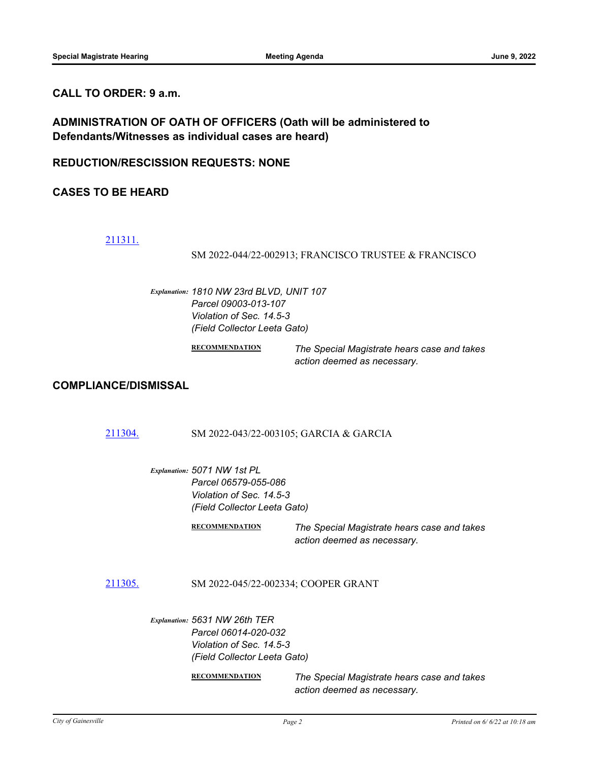# **CALL TO ORDER: 9 a.m.**

**ADMINISTRATION OF OATH OF OFFICERS (Oath will be administered to Defendants/Witnesses as individual cases are heard)**

**REDUCTION/RESCISSION REQUESTS: NONE**

**CASES TO BE HEARD**

# [211311.](http://gainesville.legistar.com/gateway.aspx?m=l&id=/matter.aspx?key=34093)

SM 2022-044/22-002913; FRANCISCO TRUSTEE & FRANCISCO

*Explanation: 1810 NW 23rd BLVD, UNIT 107 Parcel 09003-013-107 Violation of Sec. 14.5-3 (Field Collector Leeta Gato)*

> **RECOMMENDATION** *The Special Magistrate hears case and takes action deemed as necessary.*

# **COMPLIANCE/DISMISSAL**

# [211304.](http://gainesville.legistar.com/gateway.aspx?m=l&id=/matter.aspx?key=34086) SM 2022-043/22-003105; GARCIA & GARCIA

*Explanation: 5071 NW 1st PL Parcel 06579-055-086 Violation of Sec. 14.5-3 (Field Collector Leeta Gato)*

> **RECOMMENDATION** *The Special Magistrate hears case and takes action deemed as necessary.*

[211305.](http://gainesville.legistar.com/gateway.aspx?m=l&id=/matter.aspx?key=34087) SM 2022-045/22-002334; COOPER GRANT

*Explanation: 5631 NW 26th TER Parcel 06014-020-032 Violation of Sec. 14.5-3 (Field Collector Leeta Gato)*

**RECOMMENDATION** *The Special Magistrate hears case and takes action deemed as necessary.*